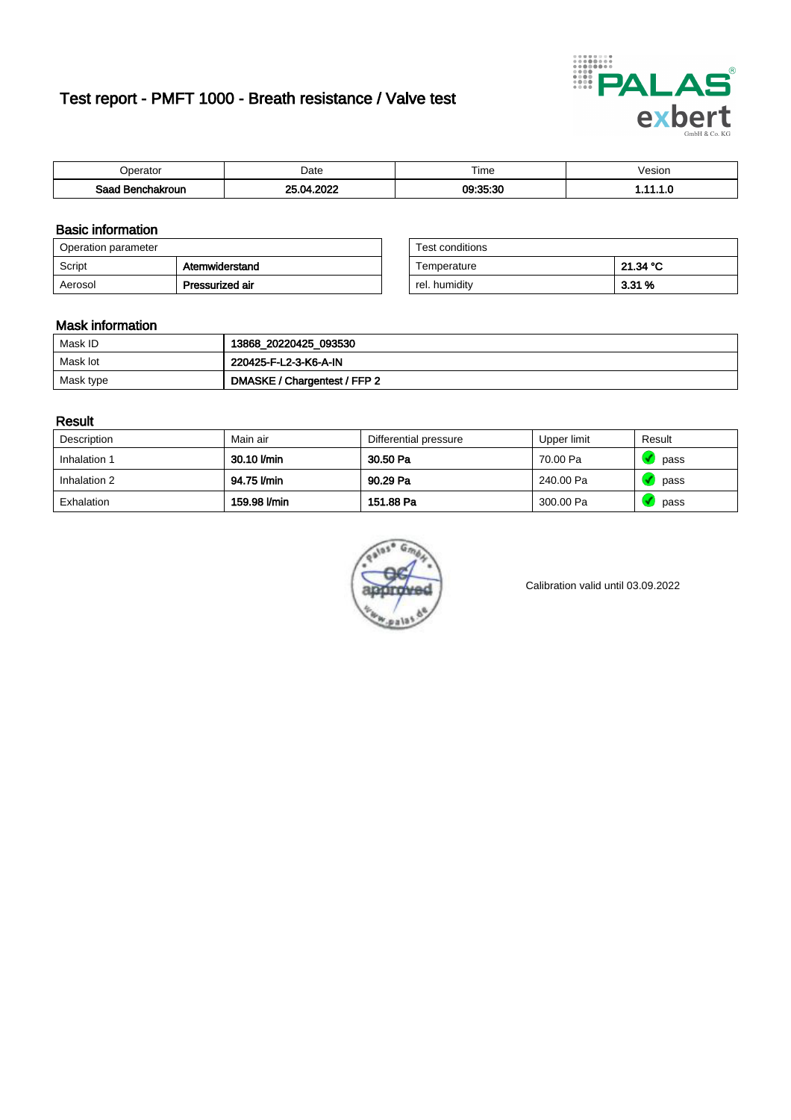# Test report - PMFT 1000 - Breath resistance / Valve test



| )perator               | Date              | $- \cdot$<br>i ime | esion |
|------------------------|-------------------|--------------------|-------|
| המס<br>hakroun<br>32 H | 2022<br>n/<br>UZ. | 09:35:30           | .     |

### Basic information

| Operation parameter |                 | Test conditions |          |
|---------------------|-----------------|-----------------|----------|
| Script              | Atemwiderstand  | Temperature     | 21.34 °C |
| Aerosol             | Pressurized air | rel. humidity   | $3.31\%$ |

| Test conditions |          |
|-----------------|----------|
| Temperature     | 21.34 °C |
| rel. humidity   | 3.31%    |

### Mask information

| Mask ID   | 13868_20220425_093530        |
|-----------|------------------------------|
| Mask lot  | 220425-F-L2-3-K6-A-IN        |
| Mask type | DMASKE / Chargentest / FFP 2 |

### Result

| Description  | Main air     | Differential pressure | Upper limit | Result |
|--------------|--------------|-----------------------|-------------|--------|
| Inhalation 1 | 30.10 l/min  | 30.50 Pa              | 70.00 Pa    | pass   |
| Inhalation 2 | 94.75 l/min  | 90.29 Pa              | 240.00 Pa   | pass   |
| Exhalation   | 159.98 l/min | 151.88 Pa             | 300.00 Pa   | pass   |



Calibration valid until 03.09.2022